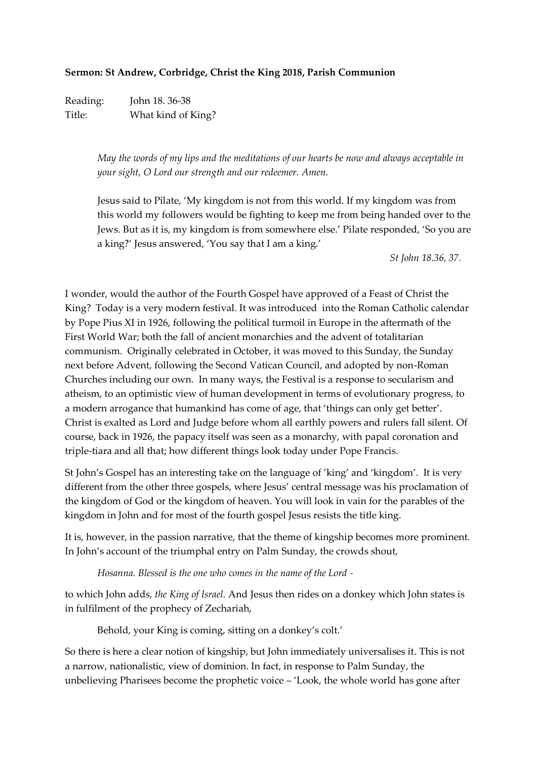## **Sermon: St Andrew, Corbridge, Christ the King 2018, Parish Communion**

Reading: John 18. 36-38 Title: What kind of King?

> *May the words of my lips and the meditations of our hearts be now and always acceptable in your sight, O Lord our strength and our redeemer. Amen.*

Jesus said to Pilate, 'My kingdom is not from this world. If my kingdom was from this world my followers would be fighting to keep me from being handed over to the Jews. But as it is, my kingdom is from somewhere else.' Pilate responded, 'So you are a king?' Jesus answered, 'You say that I am a king.'

*St John 18.36, 37.*

I wonder, would the author of the Fourth Gospel have approved of a Feast of Christ the King? Today is a very modern festival. It was introduced into the Roman Catholic calendar by Pope Pius XI in 1926, following the political turmoil in Europe in the aftermath of the First World War; both the fall of ancient monarchies and the advent of totalitarian communism. Originally celebrated in October, it was moved to this Sunday, the Sunday next before Advent, following the Second Vatican Council, and adopted by non-Roman Churches including our own. In many ways, the Festival is a response to secularism and atheism, to an optimistic view of human development in terms of evolutionary progress, to a modern arrogance that humankind has come of age, that 'things can only get better'. Christ is exalted as Lord and Judge before whom all earthly powers and rulers fall silent. Of course, back in 1926, the papacy itself was seen as a monarchy, with papal coronation and triple-tiara and all that; how different things look today under Pope Francis.

St John's Gospel has an interesting take on the language of 'king' and 'kingdom'. It is very different from the other three gospels, where Jesus' central message was his proclamation of the kingdom of God or the kingdom of heaven. You will look in vain for the parables of the kingdom in John and for most of the fourth gospel Jesus resists the title king.

It is, however, in the passion narrative, that the theme of kingship becomes more prominent. In John's account of the triumphal entry on Palm Sunday, the crowds shout,

*Hosanna. Blessed is the one who comes in the name of the Lord -*

to which John adds*, the King of Israel.* And Jesus then rides on a donkey which John states is in fulfilment of the prophecy of Zechariah,

Behold, your King is coming, sitting on a donkey's colt.'

So there is here a clear notion of kingship, but John immediately universalises it. This is not a narrow, nationalistic, view of dominion. In fact, in response to Palm Sunday, the unbelieving Pharisees become the prophetic voice – 'Look, the whole world has gone after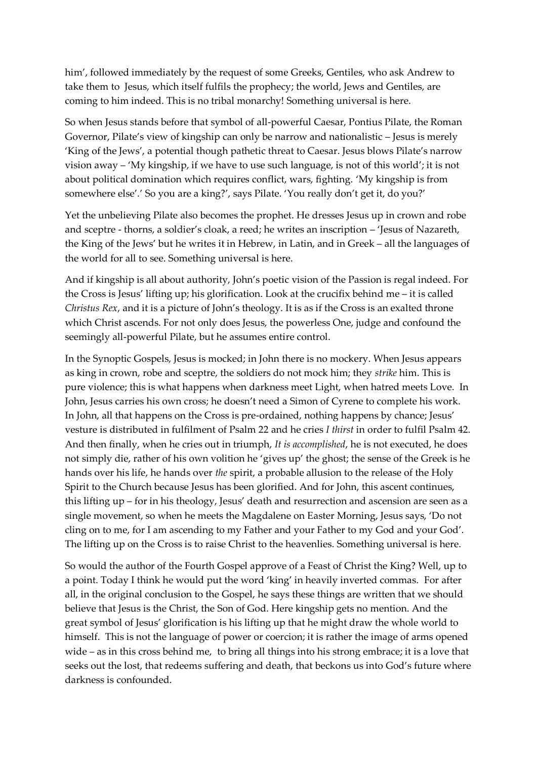him', followed immediately by the request of some Greeks, Gentiles, who ask Andrew to take them to Jesus, which itself fulfils the prophecy; the world, Jews and Gentiles, are coming to him indeed. This is no tribal monarchy! Something universal is here.

So when Jesus stands before that symbol of all-powerful Caesar, Pontius Pilate, the Roman Governor, Pilate's view of kingship can only be narrow and nationalistic – Jesus is merely 'King of the Jews', a potential though pathetic threat to Caesar. Jesus blows Pilate's narrow vision away – 'My kingship, if we have to use such language, is not of this world'; it is not about political domination which requires conflict, wars, fighting. 'My kingship is from somewhere else'.' So you are a king?', says Pilate. 'You really don't get it, do you?'

Yet the unbelieving Pilate also becomes the prophet. He dresses Jesus up in crown and robe and sceptre - thorns, a soldier's cloak, a reed; he writes an inscription – 'Jesus of Nazareth, the King of the Jews' but he writes it in Hebrew, in Latin, and in Greek – all the languages of the world for all to see. Something universal is here.

And if kingship is all about authority, John's poetic vision of the Passion is regal indeed. For the Cross is Jesus' lifting up; his glorification. Look at the crucifix behind me – it is called *Christus Rex*, and it is a picture of John's theology. It is as if the Cross is an exalted throne which Christ ascends. For not only does Jesus, the powerless One, judge and confound the seemingly all-powerful Pilate, but he assumes entire control.

In the Synoptic Gospels, Jesus is mocked; in John there is no mockery. When Jesus appears as king in crown, robe and sceptre, the soldiers do not mock him; they *strike* him. This is pure violence; this is what happens when darkness meet Light, when hatred meets Love. In John, Jesus carries his own cross; he doesn't need a Simon of Cyrene to complete his work. In John, all that happens on the Cross is pre-ordained, nothing happens by chance; Jesus' vesture is distributed in fulfilment of Psalm 22 and he cries *I thirst* in order to fulfil Psalm 42. And then finally, when he cries out in triumph, *It is accomplished*, he is not executed, he does not simply die, rather of his own volition he 'gives up' the ghost; the sense of the Greek is he hands over his life, he hands over *the* spirit, a probable allusion to the release of the Holy Spirit to the Church because Jesus has been glorified. And for John, this ascent continues, this lifting up – for in his theology, Jesus' death and resurrection and ascension are seen as a single movement, so when he meets the Magdalene on Easter Morning, Jesus says, 'Do not cling on to me, for I am ascending to my Father and your Father to my God and your God'. The lifting up on the Cross is to raise Christ to the heavenlies. Something universal is here.

So would the author of the Fourth Gospel approve of a Feast of Christ the King? Well, up to a point. Today I think he would put the word 'king' in heavily inverted commas. For after all, in the original conclusion to the Gospel, he says these things are written that we should believe that Jesus is the Christ, the Son of God. Here kingship gets no mention. And the great symbol of Jesus' glorification is his lifting up that he might draw the whole world to himself. This is not the language of power or coercion; it is rather the image of arms opened wide – as in this cross behind me, to bring all things into his strong embrace; it is a love that seeks out the lost, that redeems suffering and death, that beckons us into God's future where darkness is confounded.